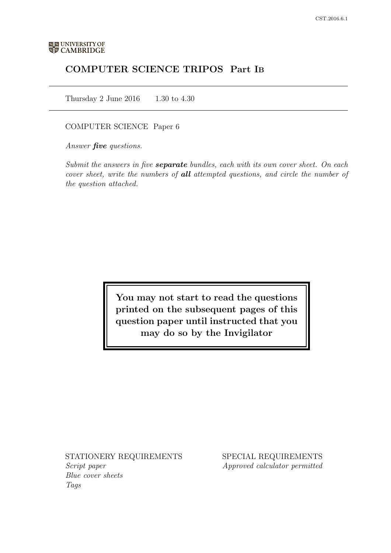# COMPUTER SCIENCE TRIPOS Part IB

Thursday 2 June 2016 1.30 to 4.30

# COMPUTER SCIENCE Paper 6

Answer *five* questions.

Submit the answers in five **separate** bundles, each with its own cover sheet. On each cover sheet, write the numbers of **all** attempted questions, and circle the number of the question attached.

> You may not start to read the questions printed on the subsequent pages of this question paper until instructed that you may do so by the Invigilator

STATIONERY REQUIREMENTS Script paper Blue cover sheets

Tags

SPECIAL REQUIREMENTS Approved calculator permitted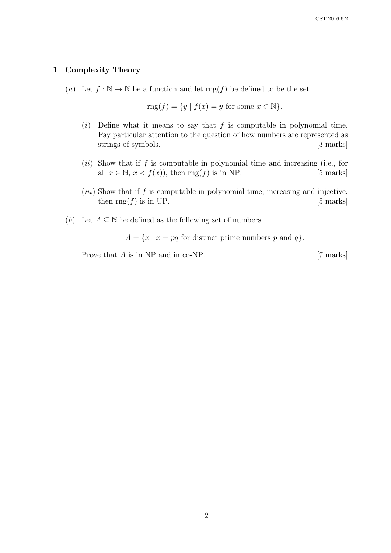### 1 Complexity Theory

(a) Let  $f : \mathbb{N} \to \mathbb{N}$  be a function and let rng(f) be defined to be the set

$$
rng(f) = \{ y \mid f(x) = y \text{ for some } x \in \mathbb{N} \}.
$$

- (i) Define what it means to say that  $f$  is computable in polynomial time. Pay particular attention to the question of how numbers are represented as strings of symbols. [3 marks]
- $(ii)$  Show that if f is computable in polynomial time and increasing (i.e., for all  $x \in \mathbb{N}, x < f(x)$ , then  $\text{rng}(f)$  is in NP. [5 marks]
- $(iii)$  Show that if f is computable in polynomial time, increasing and injective, then  $\text{rng}(f)$  is in UP. [5 marks]
- (b) Let  $A \subseteq \mathbb{N}$  be defined as the following set of numbers

 $A = \{x \mid x = pq \text{ for distinct prime numbers } p \text{ and } q\}.$ 

Prove that A is in NP and in co-NP. [7 marks]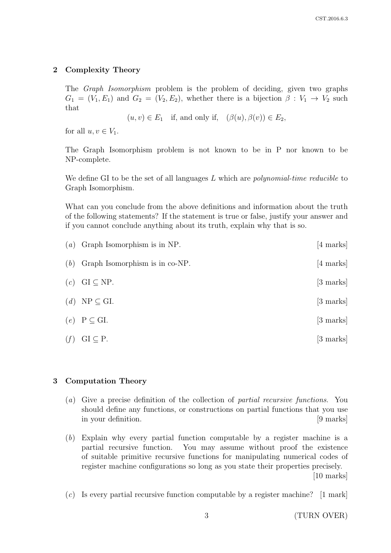# 2 Complexity Theory

The Graph Isomorphism problem is the problem of deciding, given two graphs  $G_1 = (V_1, E_1)$  and  $G_2 = (V_2, E_2)$ , whether there is a bijection  $\beta : V_1 \rightarrow V_2$  such that

 $(u, v) \in E_1$  if, and only if,  $(\beta(u), \beta(v)) \in E_2$ ,

for all  $u, v \in V_1$ .

The Graph Isomorphism problem is not known to be in P nor known to be NP-complete.

We define GI to be the set of all languages  $L$  which are *polynomial-time reducible* to Graph Isomorphism.

What can you conclude from the above definitions and information about the truth of the following statements? If the statement is true or false, justify your answer and if you cannot conclude anything about its truth, explain why that is so.

|     | $(a)$ Graph Isomorphism is in NP. | $[4 \text{ marks}]$ |
|-----|-----------------------------------|---------------------|
| (b) | Graph Isomorphism is in co-NP.    | $[4 \text{ marks}]$ |
|     | $(c)$ GI $\subseteq$ NP.          | $[3 \text{ marks}]$ |
|     | (d) NP $\subseteq$ GI.            | $[3 \text{ marks}]$ |
|     | $(e)$ $P \subseteq GI$ .          | $[3 \text{ marks}]$ |
| (f) | $GI \subseteq P$ .                | 3 marks             |

## 3 Computation Theory

- (a) Give a precise definition of the collection of partial recursive functions. You should define any functions, or constructions on partial functions that you use in your definition. [9 marks]
- (b) Explain why every partial function computable by a register machine is a partial recursive function. You may assume without proof the existence of suitable primitive recursive functions for manipulating numerical codes of register machine configurations so long as you state their properties precisely. [10 marks]
- $(c)$  Is every partial recursive function computable by a register machine? [1 mark]

3 (TURN OVER)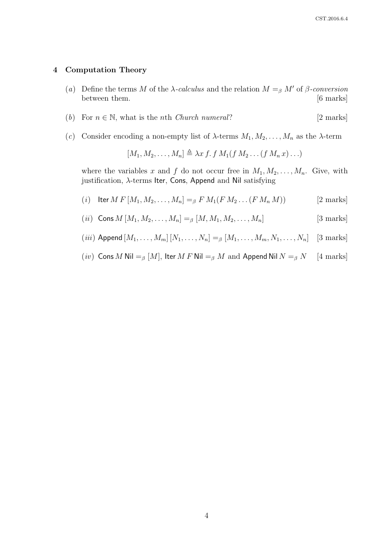#### 4 Computation Theory

- (a) Define the terms M of the  $\lambda$ -calculus and the relation  $M =_{\beta} M'$  of  $\beta$ -conversion between them. [6 marks]
- (b) For  $n \in \mathbb{N}$ , what is the *n*th *Church numeral*? [2 marks]
- (c) Consider encoding a non-empty list of  $\lambda$ -terms  $M_1, M_2, \ldots, M_n$  as the  $\lambda$ -term

$$
[M_1, M_2, \ldots, M_n] \triangleq \lambda x f. f M_1(f M_2 \ldots (f M_n x) \ldots)
$$

where the variables x and f do not occur free in  $M_1, M_2, \ldots, M_n$ . Give, with justification, λ-terms Iter, Cons, Append and Nil satisfying

- (*i*) Iter  $M F [M_1, M_2, \dots, M_n] =_\beta F M_1(F M_2 \dots (F M_n M))$  [2 marks]
- (*ii*) Cons  $M [M_1, M_2, \ldots, M_n] =_\beta [M, M_1, M_2, \ldots, M_n]$  [3 marks]
- (*iii*) Append  $[M_1, ..., M_m]$   $[N_1, ..., N_n] =_\beta [M_1, ..., M_m, N_1, ..., N_n]$  [3 marks]
- (iv) Cons M Nil  $=_{\beta}$  [M], Iter M F Nil  $=_{\beta}$  M and Append Nil  $N =_{\beta} N$  [4 marks]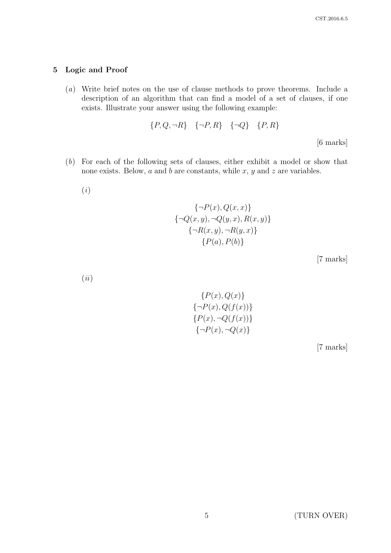# 5 Logic and Proof

(a) Write brief notes on the use of clause methods to prove theorems. Include a description of an algorithm that can find a model of a set of clauses, if one exists. Illustrate your answer using the following example:

$$
\{P, Q, \neg R\} \quad \{\neg P, R\} \quad \{\neg Q\} \quad \{P, R\}
$$
\n
$$
\text{[6 marks]}
$$

- (b) For each of the following sets of clauses, either exhibit a model or show that none exists. Below,  $a$  and  $b$  are constants, while  $x$ ,  $y$  and  $z$  are variables.
	- (i)

$$
\{\neg P(x), Q(x, x)\}\
$$
  

$$
\{\neg Q(x, y), \neg Q(y, x), R(x, y)\}\
$$
  

$$
\{\neg R(x, y), \neg R(y, x)\}\
$$
  

$$
\{P(a), P(b)\}\
$$

[7 marks]

(ii)

$$
{P(x), Q(x)}
$$
  

$$
{\neg P(x), Q(f(x))}
$$
  

$$
{P(x), \neg Q(f(x))}
$$
  

$$
{\neg P(x), \neg Q(x)}
$$

[7 marks]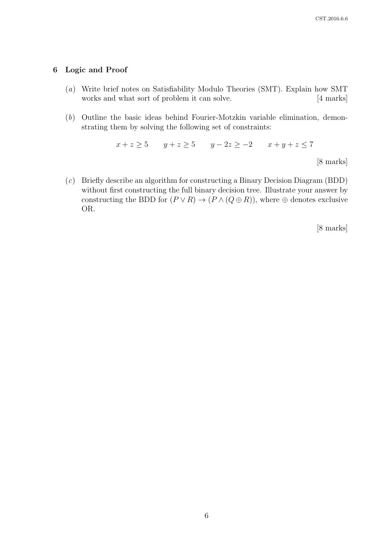### 6 Logic and Proof

- (a) Write brief notes on Satisfiability Modulo Theories (SMT). Explain how SMT works and what sort of problem it can solve. [4 marks]
- (b) Outline the basic ideas behind Fourier-Motzkin variable elimination, demonstrating them by solving the following set of constraints:

$$
x + z \ge 5 \qquad y + z \ge 5 \qquad y - 2z \ge -2 \qquad x + y + z \le 7
$$

[8 marks]

(c) Briefly describe an algorithm for constructing a Binary Decision Diagram (BDD) without first constructing the full binary decision tree. Illustrate your answer by constructing the BDD for  $(P \vee R) \rightarrow (P \wedge (Q \oplus R))$ , where  $\oplus$  denotes exclusive OR.

[8 marks]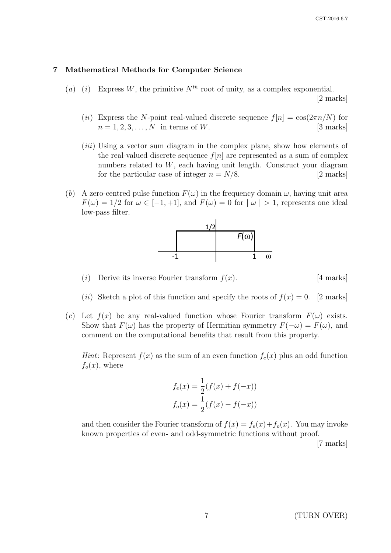### 7 Mathematical Methods for Computer Science

- (a) (i) Express W, the primitive  $N^{th}$  root of unity, as a complex exponential. [2 marks]
	- (ii) Express the N-point real-valued discrete sequence  $f[n] = \cos(2\pi n/N)$  for  $n = 1, 2, 3, ..., N$  in terms of W. [3 marks]
	- (*iii*) Using a vector sum diagram in the complex plane, show how elements of the real-valued discrete sequence  $f[n]$  are represented as a sum of complex numbers related to W, each having unit length. Construct your diagram for the particular case of integer  $n = N/8$ . [2 marks]
- (b) A zero-centred pulse function  $F(\omega)$  in the frequency domain  $\omega$ , having unit area  $F(\omega) = 1/2$  for  $\omega \in [-1, +1]$ , and  $F(\omega) = 0$  for  $|\omega| > 1$ , represents one ideal low-pass filter.



- (i) Derive its inverse Fourier transform  $f(x)$ . [4 marks]
- (*ii*) Sketch a plot of this function and specify the roots of  $f(x) = 0$ . [2 marks]
- (c) Let  $f(x)$  be any real-valued function whose Fourier transform  $F(\omega)$  exists. Show that  $F(\omega)$  has the property of Hermitian symmetry  $F(-\omega) = F(\omega)$ , and comment on the computational benefits that result from this property.

*Hint*: Represent  $f(x)$  as the sum of an even function  $f_e(x)$  plus an odd function  $f_o(x)$ , where

$$
f_e(x) = \frac{1}{2}(f(x) + f(-x))
$$

$$
f_o(x) = \frac{1}{2}(f(x) - f(-x))
$$

and then consider the Fourier transform of  $f(x) = f_e(x) + f_o(x)$ . You may invoke known properties of even- and odd-symmetric functions without proof.

[7 marks]

7 (TURN OVER)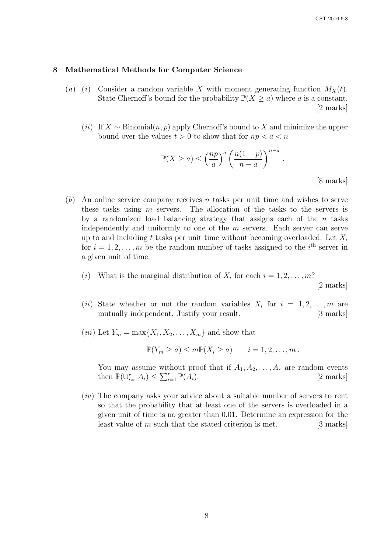#### 8 Mathematical Methods for Computer Science

- (a) (i) Consider a random variable X with moment generating function  $M_X(t)$ . State Chernoff's bound for the probability  $\mathbb{P}(X \ge a)$  where a is a constant. [2 marks]
	- (ii) If  $X \sim \text{Binomial}(n, p)$  apply Chernoff's bound to X and minimize the upper bound over the values  $t > 0$  to show that for  $np < a < n$

$$
\mathbb{P}(X \ge a) \le \left(\frac{np}{a}\right)^a \left(\frac{n(1-p)}{n-a}\right)^{n-a}.
$$

[8 marks]

- (b) An online service company receives n tasks per unit time and wishes to serve these tasks using m servers. The allocation of the tasks to the servers is by a randomized load balancing strategy that assigns each of the  $n$  tasks independently and uniformly to one of the  $m$  servers. Each server can serve up to and including t tasks per unit time without becoming overloaded. Let  $X_i$ for  $i = 1, 2, ..., m$  be the random number of tasks assigned to the  $i<sup>th</sup>$  server in a given unit of time.
	- (*i*) What is the marginal distribution of  $X_i$  for each  $i = 1, 2, \ldots, m$ ? [2 marks]
	- (*ii*) State whether or not the random variables  $X_i$  for  $i = 1, 2, ..., m$  are mutually independent. Justify your result. [3 marks]
	- (*iii*) Let  $Y_m = \max\{X_1, X_2, \ldots, X_m\}$  and show that

$$
\mathbb{P}(Y_m \ge a) \le m \mathbb{P}(X_i \ge a) \qquad i = 1, 2, \dots, m \, .
$$

You may assume without proof that if  $A_1, A_2, \ldots, A_r$  are random events then  $\mathbb{P}(\cup_{i=1}^{r} A_i) \leq \sum_{i=1}^{r} \mathbb{P}(A_i).$  [2 marks]

(iv) The company asks your advice about a suitable number of servers to rent so that the probability that at least one of the servers is overloaded in a given unit of time is no greater than 0.01. Determine an expression for the least value of  $m$  such that the stated criterion is met. [3 marks]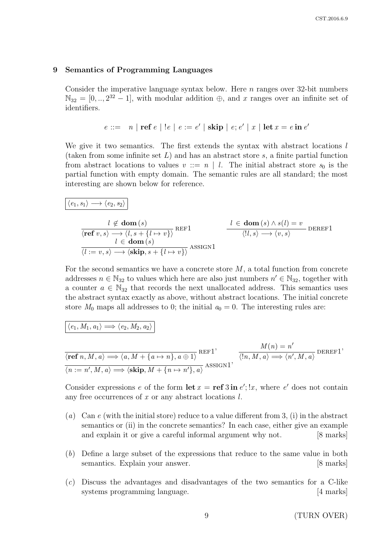#### 9 Semantics of Programming Languages

Consider the imperative language syntax below. Here n ranges over 32-bit numbers  $\mathbb{N}_{32} = [0,..,2^{32}-1],$  with modular addition  $\oplus$ , and x ranges over an infinite set of identifiers.

$$
e ::= n | \text{ref } e | !e | e := e' | \text{skip} | e; e' | x | \text{let } x = e \text{ in } e'
$$

We give it two semantics. The first extends the syntax with abstract locations  $l$ (taken from some infinite set  $L$ ) and has an abstract store  $s$ , a finite partial function from abstract locations to values  $v ::= n | l$ . The initial abstract store  $s_0$  is the partial function with empty domain. The semantic rules are all standard; the most interesting are shown below for reference.

$$
\big| \langle e_1, s_1 \rangle \longrightarrow \langle e_2, s_2 \rangle \big|
$$

$$
\frac{l \notin \text{dom}(s)}{\langle \text{ref } v, s \rangle \longrightarrow \langle l, s + \{l \mapsto v\} \rangle} \text{REF1}
$$
\n
$$
\frac{l \in \text{dom}(s) \land s(l) = v}{\langle l, s \rangle \longrightarrow \langle v, s \rangle} \text{DEREF1}
$$
\n
$$
\frac{l \in \text{dom}(s) \land s(l) = v}{\langle l, s \rangle \longrightarrow \langle v, s \rangle} \text{DEREF1}
$$
\n
$$
\frac{l \in \text{dom}(s) \land s(l) = v}{\langle l, s \rangle \longrightarrow \langle v, s \rangle} \text{DEREF1}
$$

For the second semantics we have a concrete store  $M$ , a total function from concrete addresses  $n \in \mathbb{N}_{32}$  to values which here are also just numbers  $n' \in \mathbb{N}_{32}$ , together with a counter  $a \in \mathbb{N}_{32}$  that records the next unallocated address. This semantics uses the abstract syntax exactly as above, without abstract locations. The initial concrete store  $M_0$  maps all addresses to 0; the initial  $a_0 = 0$ . The interesting rules are:

$$
\big| \langle e_1, M_1, a_1 \rangle \Longrightarrow \langle e_2, M_2, a_2 \rangle
$$

$$
\frac{\langle \text{ref } n, M, a \rangle \Longrightarrow \langle a, M + \{a \mapsto n\}, a \oplus 1 \rangle}{\langle n := n', M, a \rangle \Longrightarrow \langle \text{skip}, M + \{n \mapsto n'\}, a \rangle} \stackrel{\text{REF1'}}{\longrightarrow} \frac{M(n) = n'}{\langle n, M, a \rangle \Longrightarrow \langle n', M, a \rangle} \text{DEREF1'}
$$

Consider expressions e of the form let  $x = \text{ref } 3$  in  $e'; x$ , where  $e'$  does not contain any free occurrences of  $x$  or any abstract locations  $l$ .

- (a) Can e (with the initial store) reduce to a value different from 3, (i) in the abstract semantics or (ii) in the concrete semantics? In each case, either give an example and explain it or give a careful informal argument why not. [8 marks]
- (b) Define a large subset of the expressions that reduce to the same value in both semantics. Explain your answer. [8 marks]
- (c) Discuss the advantages and disadvantages of the two semantics for a C-like systems programming language. [4 marks]

9 (TURN OVER)